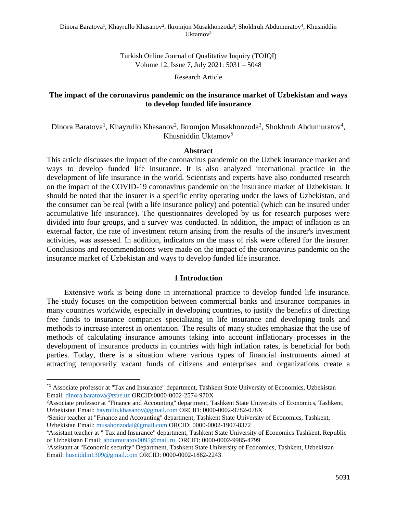Turkish Online Journal of Qualitative Inquiry (TOJQI) Volume 12, Issue 7, July 2021: 5031 – 5048

Research Article

### **The impact of the coronavirus pandemic on the insurance market of Uzbekistan and ways to develop funded life insurance**

Dinora Baratova<sup>1</sup>, Khayrullo Khasanov<sup>2</sup>, Ikromjon Musakhonzoda<sup>3</sup>, Shokhruh Abdumuratov<sup>4</sup>, Khusniddin Uktamov<sup>5</sup>

#### **Abstract**

This article discusses the impact of the coronavirus pandemic on the Uzbek insurance market and ways to develop funded life insurance. It is also analyzed international practice in the development of life insurance in the world. Scientists and experts have also conducted research on the impact of the COVID-19 coronavirus pandemic on the insurance market of Uzbekistan. It should be noted that the insurer is a specific entity operating under the laws of Uzbekistan, and the consumer can be real (with a life insurance policy) and potential (which can be insured under accumulative life insurance). The questionnaires developed by us for research purposes were divided into four groups, and a survey was conducted. In addition, the impact of inflation as an external factor, the rate of investment return arising from the results of the insurer's investment activities, was assessed. In addition, indicators on the mass of risk were offered for the insurer. Conclusions and recommendations were made on the impact of the coronavirus pandemic on the insurance market of Uzbekistan and ways to develop funded life insurance.

### **1 Introduction**

Extensive work is being done in international practice to develop funded life insurance. The study focuses on the competition between commercial banks and insurance companies in many countries worldwide, especially in developing countries, to justify the benefits of directing free funds to insurance companies specializing in life insurance and developing tools and methods to increase interest in orientation. The results of many studies emphasize that the use of methods of calculating insurance amounts taking into account inflationary processes in the development of insurance products in countries with high inflation rates, is beneficial for both parties. Today, there is a situation where various types of financial instruments aimed at attracting temporarily vacant funds of citizens and enterprises and organizations create a

<sup>\*1</sup> Associate professor at "Tax and Insurance" department, Tashkent State University of Economics, Uzbekistan Email: [dinora.baratova@tsue.uz](mailto:dinora.baratova@tsue.uz) ORCID:0000-0002-2574-970X

<sup>2</sup>Associate professor at "Finance and Accounting" department, Tashkent State University of Economics, Tashkent, Uzbekistan Email: [hayrullo.khasanov@gmail.com](mailto:hayrullo.khasanov@gmail.com) ORCID: 0000-0002-9782-078X

<sup>3</sup>Senior teacher at "Finance and Accounting" department, Tashkent State University of Economics, Tashkent, Uzbekistan Email: [musahonzodai@gmail.com](mailto:musahonzodai@gmail.com) ORCID: 0000-0002-1907-8372

<sup>4</sup>Assistant teacher at " Tax and Insurance" department, Tashkent State University of Economics Tashkent, Republic of Uzbekistan Email: [abdumuratov0095@mail.ru](mailto:abdumuratov0095@mail.ru) ORCID: 0000-0002-9985-4799

<sup>5</sup>Assistant at "Economic security" Department, Tashkent State University of Economics, Tashkent, Uzbekistan Email: [husniddin1309@gmail.com](mailto:husniddin1309@gmail.com) ORCID: 0000-0002-1882-2243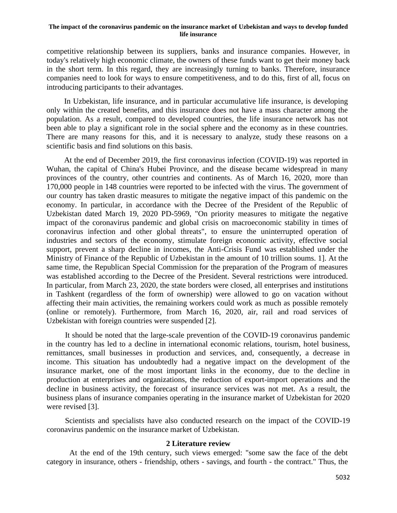competitive relationship between its suppliers, banks and insurance companies. However, in today's relatively high economic climate, the owners of these funds want to get their money back in the short term. In this regard, they are increasingly turning to banks. Therefore, insurance companies need to look for ways to ensure competitiveness, and to do this, first of all, focus on introducing participants to their advantages.

In Uzbekistan, life insurance, and in particular accumulative life insurance, is developing only within the created benefits, and this insurance does not have a mass character among the population. As a result, compared to developed countries, the life insurance network has not been able to play a significant role in the social sphere and the economy as in these countries. There are many reasons for this, and it is necessary to analyze, study these reasons on a scientific basis and find solutions on this basis.

At the end of December 2019, the first coronavirus infection (COVID-19) was reported in Wuhan, the capital of China's Hubei Province, and the disease became widespread in many provinces of the country, other countries and continents. As of March 16, 2020, more than 170,000 people in 148 countries were reported to be infected with the virus. The government of our country has taken drastic measures to mitigate the negative impact of this pandemic on the economy. In particular, in accordance with the Decree of the President of the Republic of Uzbekistan dated March 19, 2020 PD-5969, "On priority measures to mitigate the negative impact of the coronavirus pandemic and global crisis on macroeconomic stability in times of coronavirus infection and other global threats", to ensure the uninterrupted operation of industries and sectors of the economy, stimulate foreign economic activity, effective social support, prevent a sharp decline in incomes, the Anti-Crisis Fund was established under the Ministry of Finance of the Republic of Uzbekistan in the amount of 10 trillion soums. 1]. At the same time, the Republican Special Commission for the preparation of the Program of measures was established according to the Decree of the President. Several restrictions were introduced. In particular, from March 23, 2020, the state borders were closed, all enterprises and institutions in Tashkent (regardless of the form of ownership) were allowed to go on vacation without affecting their main activities, the remaining workers could work as much as possible remotely (online or remotely). Furthermore, from March 16, 2020, air, rail and road services of Uzbekistan with foreign countries were suspended [2].

It should be noted that the large-scale prevention of the COVID-19 coronavirus pandemic in the country has led to a decline in international economic relations, tourism, hotel business, remittances, small businesses in production and services, and, consequently, a decrease in income. This situation has undoubtedly had a negative impact on the development of the insurance market, one of the most important links in the economy, due to the decline in production at enterprises and organizations, the reduction of export-import operations and the decline in business activity, the forecast of insurance services was not met. As a result, the business plans of insurance companies operating in the insurance market of Uzbekistan for 2020 were revised [3].

Scientists and specialists have also conducted research on the impact of the COVID-19 coronavirus pandemic on the insurance market of Uzbekistan.

#### **2 Literature review**

At the end of the 19th century, such views emerged: "some saw the face of the debt category in insurance, others - friendship, others - savings, and fourth - the contract." Thus, the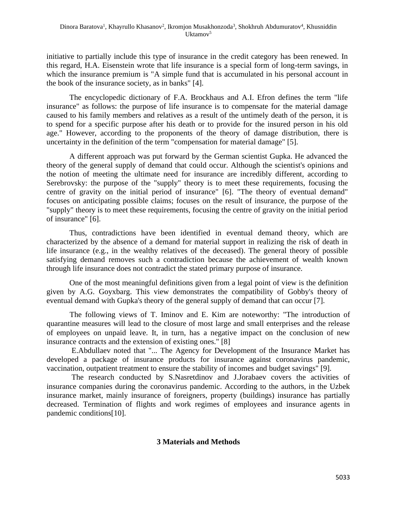initiative to partially include this type of insurance in the credit category has been renewed. In this regard, H.A. Eisenstein wrote that life insurance is a special form of long-term savings, in which the insurance premium is "A simple fund that is accumulated in his personal account in the book of the insurance society, as in banks" [4].

The encyclopedic dictionary of F.A. Brockhaus and A.I. Efron defines the term "life insurance" as follows: the purpose of life insurance is to compensate for the material damage caused to his family members and relatives as a result of the untimely death of the person, it is to spend for a specific purpose after his death or to provide for the insured person in his old age." However, according to the proponents of the theory of damage distribution, there is uncertainty in the definition of the term "compensation for material damage" [5].

A different approach was put forward by the German scientist Gupka. He advanced the theory of the general supply of demand that could occur. Although the scientist's opinions and the notion of meeting the ultimate need for insurance are incredibly different, according to Serebrovsky: the purpose of the "supply" theory is to meet these requirements, focusing the centre of gravity on the initial period of insurance" [6]. "The theory of eventual demand" focuses on anticipating possible claims; focuses on the result of insurance, the purpose of the "supply" theory is to meet these requirements, focusing the centre of gravity on the initial period of insurance" [6].

Thus, contradictions have been identified in eventual demand theory, which are characterized by the absence of a demand for material support in realizing the risk of death in life insurance (e.g., in the wealthy relatives of the deceased). The general theory of possible satisfying demand removes such a contradiction because the achievement of wealth known through life insurance does not contradict the stated primary purpose of insurance.

One of the most meaningful definitions given from a legal point of view is the definition given by A.G. Goyxbarg. This view demonstrates the compatibility of Gobby's theory of eventual demand with Gupka's theory of the general supply of demand that can occur [7].

The following views of T. Iminov and E. Kim are noteworthy: "The introduction of quarantine measures will lead to the closure of most large and small enterprises and the release of employees on unpaid leave. It, in turn, has a negative impact on the conclusion of new insurance contracts and the extension of existing ones." [8]

E.Abdullaev noted that "... The Agency for Development of the Insurance Market has developed a package of insurance products for insurance against coronavirus pandemic, vaccination, outpatient treatment to ensure the stability of incomes and budget savings" [9].

The research conducted by S.Nasretdinov and J.Jorabaev covers the activities of insurance companies during the coronavirus pandemic. According to the authors, in the Uzbek insurance market, mainly insurance of foreigners, property (buildings) insurance has partially decreased. Termination of flights and work regimes of employees and insurance agents in pandemic conditions[10].

# **3 Materials and Methods**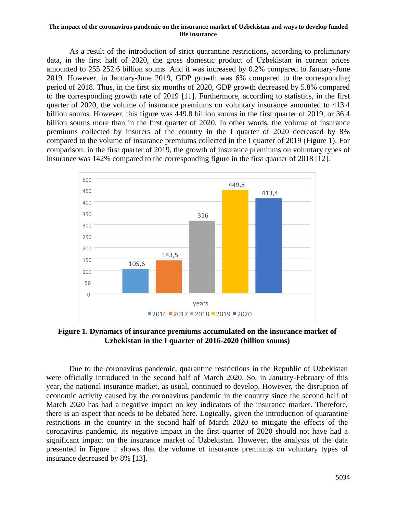As a result of the introduction of strict quarantine restrictions, according to preliminary data, in the first half of 2020, the gross domestic product of Uzbekistan in current prices amounted to 255 252.6 billion soums. And it was increased by 0.2% compared to January-June 2019. However, in January-June 2019, GDP growth was 6% compared to the corresponding period of 2018. Thus, in the first six months of 2020, GDP growth decreased by 5.8% compared to the corresponding growth rate of 2019 [11]. Furthermore, according to statistics, in the first quarter of 2020, the volume of insurance premiums on voluntary insurance amounted to 413.4 billion soums. However, this figure was 449.8 billion soums in the first quarter of 2019, or 36.4 billion soums more than in the first quarter of 2020. In other words, the volume of insurance premiums collected by insurers of the country in the I quarter of 2020 decreased by 8% compared to the volume of insurance premiums collected in the I quarter of 2019 (Figure 1). For comparison: in the first quarter of 2019, the growth of insurance premiums on voluntary types of insurance was 142% compared to the corresponding figure in the first quarter of 2018 [12].



**Figure 1. Dynamics of insurance premiums accumulated on the insurance market of Uzbekistan in the I quarter of 2016-2020 (billion soums)**

Due to the coronavirus pandemic, quarantine restrictions in the Republic of Uzbekistan were officially introduced in the second half of March 2020. So, in January-February of this year, the national insurance market, as usual, continued to develop. However, the disruption of economic activity caused by the coronavirus pandemic in the country since the second half of March 2020 has had a negative impact on key indicators of the insurance market. Therefore, there is an aspect that needs to be debated here. Logically, given the introduction of quarantine restrictions in the country in the second half of March 2020 to mitigate the effects of the coronavirus pandemic, its negative impact in the first quarter of 2020 should not have had a significant impact on the insurance market of Uzbekistan. However, the analysis of the data presented in Figure 1 shows that the volume of insurance premiums on voluntary types of insurance decreased by 8% [13].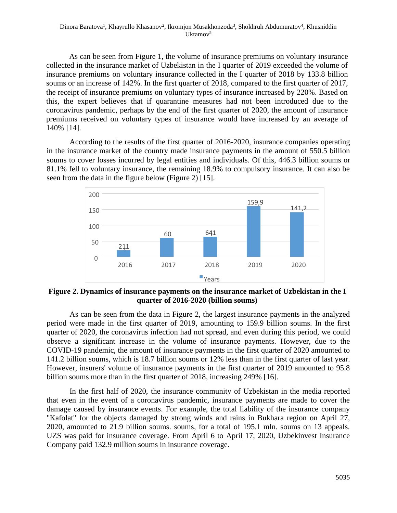As can be seen from Figure 1, the volume of insurance premiums on voluntary insurance collected in the insurance market of Uzbekistan in the I quarter of 2019 exceeded the volume of insurance premiums on voluntary insurance collected in the I quarter of 2018 by 133.8 billion soums or an increase of 142%. In the first quarter of 2018, compared to the first quarter of 2017, the receipt of insurance premiums on voluntary types of insurance increased by 220%. Based on this, the expert believes that if quarantine measures had not been introduced due to the coronavirus pandemic, perhaps by the end of the first quarter of 2020, the amount of insurance premiums received on voluntary types of insurance would have increased by an average of 140% [14].

According to the results of the first quarter of 2016-2020, insurance companies operating in the insurance market of the country made insurance payments in the amount of 550.5 billion soums to cover losses incurred by legal entities and individuals. Of this, 446.3 billion soums or 81.1% fell to voluntary insurance, the remaining 18.9% to compulsory insurance. It can also be seen from the data in the figure below (Figure 2) [15].



**Figure 2. Dynamics of insurance payments on the insurance market of Uzbekistan in the I quarter of 2016-2020 (billion soums)**

As can be seen from the data in Figure 2, the largest insurance payments in the analyzed period were made in the first quarter of 2019, amounting to 159.9 billion soums. In the first quarter of 2020, the coronavirus infection had not spread, and even during this period, we could observe a significant increase in the volume of insurance payments. However, due to the COVID-19 pandemic, the amount of insurance payments in the first quarter of 2020 amounted to 141.2 billion soums, which is 18.7 billion soums or 12% less than in the first quarter of last year. However, insurers' volume of insurance payments in the first quarter of 2019 amounted to 95.8 billion soums more than in the first quarter of 2018, increasing 249% [16].

In the first half of 2020, the insurance community of Uzbekistan in the media reported that even in the event of a coronavirus pandemic, insurance payments are made to cover the damage caused by insurance events. For example, the total liability of the insurance company "Kafolat" for the objects damaged by strong winds and rains in Bukhara region on April 27, 2020, amounted to 21.9 billion soums. soums, for a total of 195.1 mln. soums on 13 appeals. UZS was paid for insurance coverage. From April 6 to April 17, 2020, Uzbekinvest Insurance Company paid 132.9 million soums in insurance coverage.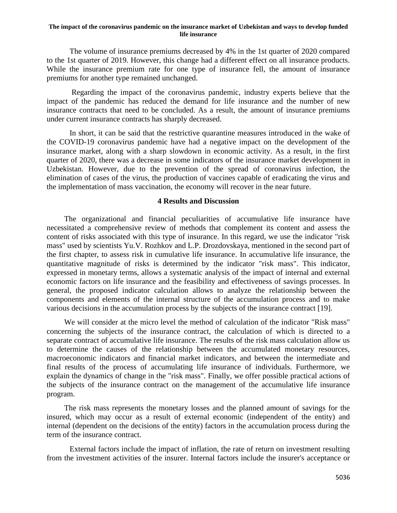The volume of insurance premiums decreased by 4% in the 1st quarter of 2020 compared to the 1st quarter of 2019. However, this change had a different effect on all insurance products. While the insurance premium rate for one type of insurance fell, the amount of insurance premiums for another type remained unchanged.

Regarding the impact of the coronavirus pandemic, industry experts believe that the impact of the pandemic has reduced the demand for life insurance and the number of new insurance contracts that need to be concluded. As a result, the amount of insurance premiums under current insurance contracts has sharply decreased.

In short, it can be said that the restrictive quarantine measures introduced in the wake of the COVID-19 coronavirus pandemic have had a negative impact on the development of the insurance market, along with a sharp slowdown in economic activity. As a result, in the first quarter of 2020, there was a decrease in some indicators of the insurance market development in Uzbekistan. However, due to the prevention of the spread of coronavirus infection, the elimination of cases of the virus, the production of vaccines capable of eradicating the virus and the implementation of mass vaccination, the economy will recover in the near future.

### **4 Results and Discussion**

The organizational and financial peculiarities of accumulative life insurance have necessitated a comprehensive review of methods that complement its content and assess the content of risks associated with this type of insurance. In this regard, we use the indicator "risk mass" used by scientists Yu.V. Rozhkov and L.P. Drozdovskaya, mentioned in the second part of the first chapter, to assess risk in cumulative life insurance. In accumulative life insurance, the quantitative magnitude of risks is determined by the indicator "risk mass". This indicator, expressed in monetary terms, allows a systematic analysis of the impact of internal and external economic factors on life insurance and the feasibility and effectiveness of savings processes. In general, the proposed indicator calculation allows to analyze the relationship between the components and elements of the internal structure of the accumulation process and to make various decisions in the accumulation process by the subjects of the insurance contract [19].

We will consider at the micro level the method of calculation of the indicator "Risk mass" concerning the subjects of the insurance contract, the calculation of which is directed to a separate contract of accumulative life insurance. The results of the risk mass calculation allow us to determine the causes of the relationship between the accumulated monetary resources, macroeconomic indicators and financial market indicators, and between the intermediate and final results of the process of accumulating life insurance of individuals. Furthermore, we explain the dynamics of change in the "risk mass". Finally, we offer possible practical actions of the subjects of the insurance contract on the management of the accumulative life insurance program.

The risk mass represents the monetary losses and the planned amount of savings for the insured, which may occur as a result of external economic (independent of the entity) and internal (dependent on the decisions of the entity) factors in the accumulation process during the term of the insurance contract.

External factors include the impact of inflation, the rate of return on investment resulting from the investment activities of the insurer. Internal factors include the insurer's acceptance or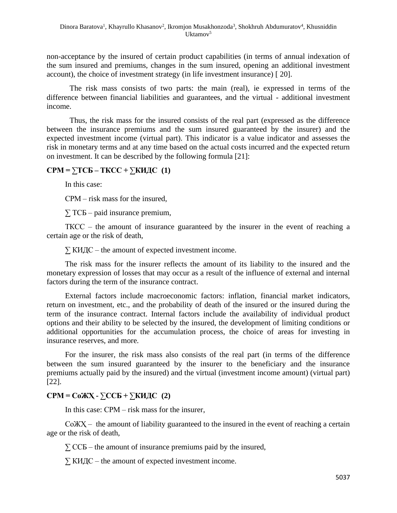non-acceptance by the insured of certain product capabilities (in terms of annual indexation of the sum insured and premiums, changes in the sum insured, opening an additional investment account), the choice of investment strategy (in life investment insurance) [ 20].

The risk mass consists of two parts: the main (real), ie expressed in terms of the difference between financial liabilities and guarantees, and the virtual - additional investment income.

Thus, the risk mass for the insured consists of the real part (expressed as the difference between the insurance premiums and the sum insured guaranteed by the insurer) and the expected investment income (virtual part). This indicator is a value indicator and assesses the risk in monetary terms and at any time based on the actual costs incurred and the expected return on investment. It can be described by the following formula [21]:

# **СРМ = ∑ТCБ – ТКCС + ∑КИДС (1)**

In this case:

СРМ – risk mass for the insured,

 $\Sigma$  TC<sub>B</sub> – paid insurance premium,

ТКCС – the amount of insurance guaranteed by the insurer in the event of reaching a certain age or the risk of death,

 $\Sigma$  КИДС – the amount of expected investment income.

The risk mass for the insurer reflects the amount of its liability to the insured and the monetary expression of losses that may occur as a result of the influence of external and internal factors during the term of the insurance contract.

External factors include macroeconomic factors: inflation, financial market indicators, return on investment, etc., and the probability of death of the insured or the insured during the term of the insurance contract. Internal factors include the availability of individual product options and their ability to be selected by the insured, the development of limiting conditions or additional opportunities for the accumulation process, the choice of areas for investing in insurance reserves, and more.

For the insurer, the risk mass also consists of the real part (in terms of the difference between the sum insured guaranteed by the insurer to the beneficiary and the insurance premiums actually paid by the insured) and the virtual (investment income amount) (virtual part) [22].

# **СРМ = CoЖҲ - ∑CСБ + ∑КИДС (2)**

In this case: СРМ – risk mass for the insurer,

CoЖҲ – the amount of liability guaranteed to the insured in the event of reaching a certain age or the risk of death,

 $\Sigma$  CC<sub>B</sub> – the amount of insurance premiums paid by the insured,

 $\Sigma$  КИДС – the amount of expected investment income.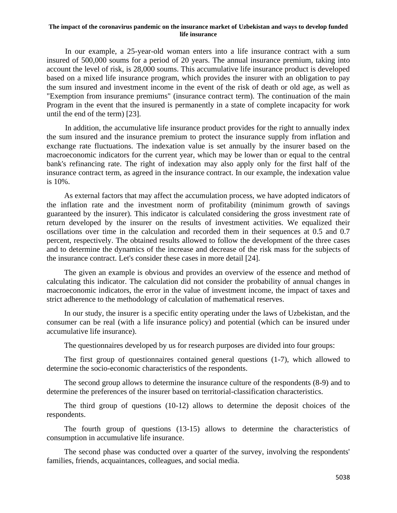In our example, a 25-year-old woman enters into a life insurance contract with a sum insured of 500,000 soums for a period of 20 years. The annual insurance premium, taking into account the level of risk, is 28,000 soums. This accumulative life insurance product is developed based on a mixed life insurance program, which provides the insurer with an obligation to pay the sum insured and investment income in the event of the risk of death or old age, as well as "Exemption from insurance premiums" (insurance contract term). The continuation of the main Program in the event that the insured is permanently in a state of complete incapacity for work until the end of the term) [23].

In addition, the accumulative life insurance product provides for the right to annually index the sum insured and the insurance premium to protect the insurance supply from inflation and exchange rate fluctuations. The indexation value is set annually by the insurer based on the macroeconomic indicators for the current year, which may be lower than or equal to the central bank's refinancing rate. The right of indexation may also apply only for the first half of the insurance contract term, as agreed in the insurance contract. In our example, the indexation value is 10%.

As external factors that may affect the accumulation process, we have adopted indicators of the inflation rate and the investment norm of profitability (minimum growth of savings guaranteed by the insurer). This indicator is calculated considering the gross investment rate of return developed by the insurer on the results of investment activities. We equalized their oscillations over time in the calculation and recorded them in their sequences at 0.5 and 0.7 percent, respectively. The obtained results allowed to follow the development of the three cases and to determine the dynamics of the increase and decrease of the risk mass for the subjects of the insurance contract. Let's consider these cases in more detail [24].

The given an example is obvious and provides an overview of the essence and method of calculating this indicator. The calculation did not consider the probability of annual changes in macroeconomic indicators, the error in the value of investment income, the impact of taxes and strict adherence to the methodology of calculation of mathematical reserves.

In our study, the insurer is a specific entity operating under the laws of Uzbekistan, and the consumer can be real (with a life insurance policy) and potential (which can be insured under accumulative life insurance).

The questionnaires developed by us for research purposes are divided into four groups:

The first group of questionnaires contained general questions (1-7), which allowed to determine the socio-economic characteristics of the respondents.

The second group allows to determine the insurance culture of the respondents (8-9) and to determine the preferences of the insurer based on territorial-classification characteristics.

The third group of questions (10-12) allows to determine the deposit choices of the respondents.

The fourth group of questions (13-15) allows to determine the characteristics of consumption in accumulative life insurance.

The second phase was conducted over a quarter of the survey, involving the respondents' families, friends, acquaintances, colleagues, and social media.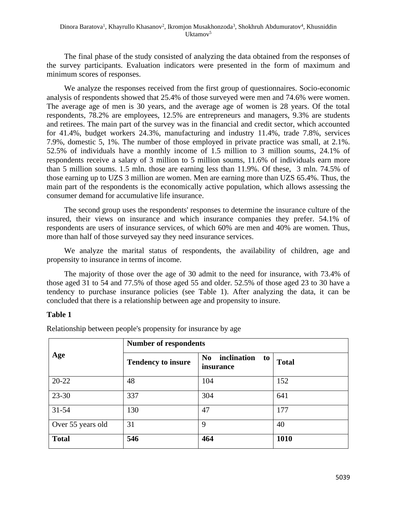The final phase of the study consisted of analyzing the data obtained from the responses of the survey participants. Evaluation indicators were presented in the form of maximum and minimum scores of responses.

We analyze the responses received from the first group of questionnaires. Socio-economic analysis of respondents showed that 25.4% of those surveyed were men and 74.6% were women. The average age of men is 30 years, and the average age of women is 28 years. Of the total respondents, 78.2% are employees, 12.5% are entrepreneurs and managers, 9.3% are students and retirees. The main part of the survey was in the financial and credit sector, which accounted for 41.4%, budget workers 24.3%, manufacturing and industry 11.4%, trade 7.8%, services 7.9%, domestic 5, 1%. The number of those employed in private practice was small, at 2.1%. 52.5% of individuals have a monthly income of 1.5 million to 3 million soums, 24.1% of respondents receive a salary of 3 million to 5 million soums, 11.6% of individuals earn more than 5 million soums. 1.5 mln. those are earning less than 11.9%. Of these, 3 mln. 74.5% of those earning up to UZS 3 million are women. Men are earning more than UZS 65.4%. Thus, the main part of the respondents is the economically active population, which allows assessing the consumer demand for accumulative life insurance.

The second group uses the respondents' responses to determine the insurance culture of the insured, their views on insurance and which insurance companies they prefer. 54.1% of respondents are users of insurance services, of which 60% are men and 40% are women. Thus, more than half of those surveyed say they need insurance services.

We analyze the marital status of respondents, the availability of children, age and propensity to insurance in terms of income.

The majority of those over the age of 30 admit to the need for insurance, with 73.4% of those aged 31 to 54 and 77.5% of those aged 55 and older. 52.5% of those aged 23 to 30 have a tendency to purchase insurance policies (see Table 1). After analyzing the data, it can be concluded that there is a relationship between age and propensity to insure.

# **Table 1**

|                   | <b>Number of respondents</b> |                                                  |              |  |  |  |
|-------------------|------------------------------|--------------------------------------------------|--------------|--|--|--|
| Age               | <b>Tendency to insure</b>    | inclination<br>N <sub>0</sub><br>to<br>insurance | <b>Total</b> |  |  |  |
| $20 - 22$         | 48                           | 104                                              | 152          |  |  |  |
| 23-30             | 337                          | 304                                              | 641          |  |  |  |
| $31 - 54$         | 130                          | 47                                               | 177          |  |  |  |
| Over 55 years old | 31                           | 9                                                | 40           |  |  |  |
| <b>Total</b>      | 546                          | 464                                              | 1010         |  |  |  |

Relationship between people's propensity for insurance by age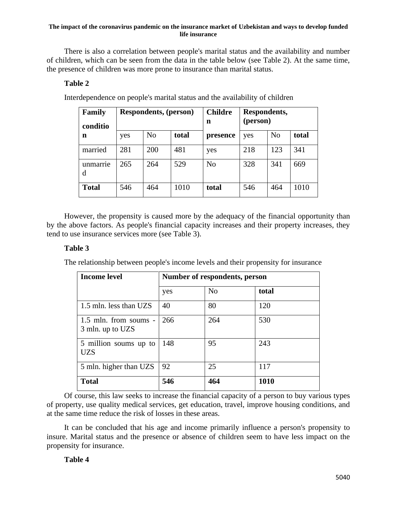There is also a correlation between people's marital status and the availability and number of children, which can be seen from the data in the table below (see Table 2). At the same time, the presence of children was more prone to insurance than marital status.

# **Table 2**

| Family<br>conditio | <b>Respondents, (person)</b> |                |       | <b>Childre</b><br>n | Respondents,<br>(person) |                |       |
|--------------------|------------------------------|----------------|-------|---------------------|--------------------------|----------------|-------|
| n                  | yes                          | N <sub>o</sub> | total | presence            | yes                      | N <sub>o</sub> | total |
| married            | 281                          | 200            | 481   | yes                 | 218                      | 123            | 341   |
| unmarrie<br>d      | 265                          | 264            | 529   | N <sub>o</sub>      | 328                      | 341            | 669   |
| <b>Total</b>       | 546                          | 464            | 1010  | total               | 546                      | 464            | 1010  |

Interdependence on people's marital status and the availability of children

However, the propensity is caused more by the adequacy of the financial opportunity than by the above factors. As people's financial capacity increases and their property increases, they tend to use insurance services more (see Table 3).

# **Table 3**

The relationship between people's income levels and their propensity for insurance

| <b>Income level</b>                         | Number of respondents, person |                |       |  |
|---------------------------------------------|-------------------------------|----------------|-------|--|
|                                             | yes                           | N <sub>o</sub> | total |  |
| 1.5 mln. less than UZS                      | 40                            | 80             | 120   |  |
| $1.5$ mln. from soums -<br>3 mln. up to UZS | 266                           | 264            | 530   |  |
| 5 million soums up to<br>UZS                | 148                           | 95             | 243   |  |
| 5 mln. higher than UZS                      | 92                            | 25             | 117   |  |
| <b>Total</b>                                | 546                           | 464            | 1010  |  |

Of course, this law seeks to increase the financial capacity of a person to buy various types of property, use quality medical services, get education, travel, improve housing conditions, and at the same time reduce the risk of losses in these areas.

It can be concluded that his age and income primarily influence a person's propensity to insure. Marital status and the presence or absence of children seem to have less impact on the propensity for insurance.

# **Table 4**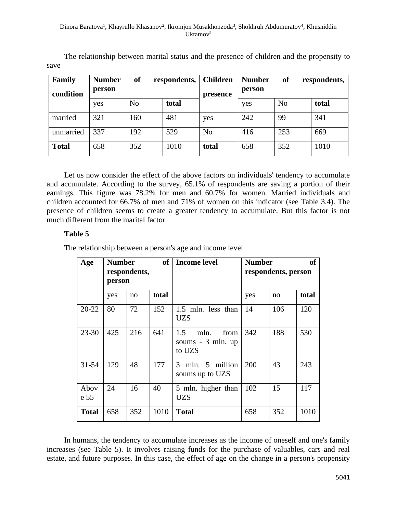#### Dinora Baratova<sup>1</sup>, Khayrullo Khasanov<sup>2</sup>, Ikromjon Musakhonzoda<sup>3</sup>, Shokhruh Abdumuratov<sup>4</sup>, Khusniddin Uktamov<sup>5</sup>

| Family<br>condition | <b>Number</b><br>person | <sub>of</sub>  | respondents, | <b>Children</b><br>presence | <b>Number</b><br>person | <b>of</b>      | respondents, |
|---------------------|-------------------------|----------------|--------------|-----------------------------|-------------------------|----------------|--------------|
|                     | yes                     | N <sub>o</sub> | total        |                             | yes                     | N <sub>o</sub> | total        |
| married             | 321                     | 160            | 481          | yes                         | 242                     | 99             | 341          |
| unmarried           | 337                     | 192            | 529          | N <sub>0</sub>              | 416                     | 253            | 669          |
| <b>Total</b>        | 658                     | 352            | 1010         | total                       | 658                     | 352            | 1010         |

The relationship between marital status and the presence of children and the propensity to save

Let us now consider the effect of the above factors on individuals' tendency to accumulate and accumulate. According to the survey, 65.1% of respondents are saving a portion of their earnings. This figure was 78.2% for men and 60.7% for women. Married individuals and children accounted for 66.7% of men and 71% of women on this indicator (see Table 3.4). The presence of children seems to create a greater tendency to accumulate. But this factor is not much different from the marital factor.

# **Table 5**

The relationship between a person's age and income level

| Age          | <b>of</b><br><b>Number</b><br>respondents,<br>person |     |       | Income level                                       | <b>Number</b> | respondents, person | оf    |
|--------------|------------------------------------------------------|-----|-------|----------------------------------------------------|---------------|---------------------|-------|
|              | yes                                                  | no  | total |                                                    | yes           | no                  | total |
| $20 - 22$    | 80                                                   | 72  | 152   | 1.5 mln. less than<br>UZS                          | 14            | 106                 | 120   |
| $23 - 30$    | 425                                                  | 216 | 641   | from<br>1.5<br>mln.<br>soums - 3 mln. up<br>to UZS | 342           | 188                 | 530   |
| $31 - 54$    | 129                                                  | 48  | 177   | mln. 5 million<br>3<br>soums up to UZS             | 200           | 43                  | 243   |
| Abov<br>e 55 | 24                                                   | 16  | 40    | 5 mln. higher than<br><b>UZS</b>                   | 102           | 15                  | 117   |
| <b>Total</b> | 658                                                  | 352 | 1010  | <b>Total</b>                                       | 658           | 352                 | 1010  |

In humans, the tendency to accumulate increases as the income of oneself and one's family increases (see Table 5). It involves raising funds for the purchase of valuables, cars and real estate, and future purposes. In this case, the effect of age on the change in a person's propensity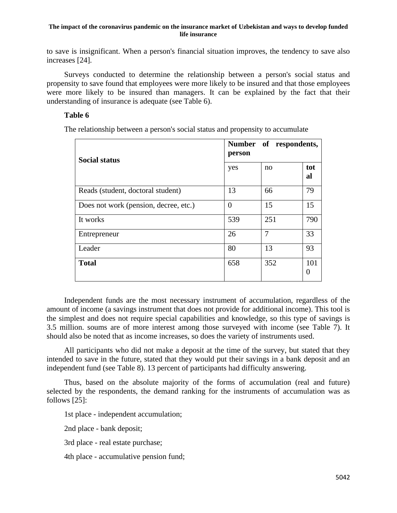to save is insignificant. When a person's financial situation improves, the tendency to save also increases [24].

Surveys conducted to determine the relationship between a person's social status and propensity to save found that employees were more likely to be insured and that those employees were more likely to be insured than managers. It can be explained by the fact that their understanding of insurance is adequate (see Table 6).

# **Table 6**

The relationship between a person's social status and propensity to accumulate

| <b>Social status</b>                  | Number of respondents,<br>person |     |                 |  |
|---------------------------------------|----------------------------------|-----|-----------------|--|
|                                       | yes                              | no  | tot<br>al       |  |
| Reads (student, doctoral student)     | 13                               | 66  | 79              |  |
| Does not work (pension, decree, etc.) | $\Omega$                         | 15  | 15              |  |
| It works                              | 539                              | 251 | 790             |  |
| Entrepreneur                          | 26                               | 7   | 33              |  |
| Leader                                | 80                               | 13  | 93              |  |
| <b>Total</b>                          | 658                              | 352 | 101<br>$\theta$ |  |

Independent funds are the most necessary instrument of accumulation, regardless of the amount of income (a savings instrument that does not provide for additional income). This tool is the simplest and does not require special capabilities and knowledge, so this type of savings is 3.5 million. soums are of more interest among those surveyed with income (see Table 7). It should also be noted that as income increases, so does the variety of instruments used.

All participants who did not make a deposit at the time of the survey, but stated that they intended to save in the future, stated that they would put their savings in a bank deposit and an independent fund (see Table 8). 13 percent of participants had difficulty answering.

Thus, based on the absolute majority of the forms of accumulation (real and future) selected by the respondents, the demand ranking for the instruments of accumulation was as follows [25]:

1st place - independent accumulation;

2nd place - bank deposit;

3rd place - real estate purchase;

4th place - accumulative pension fund;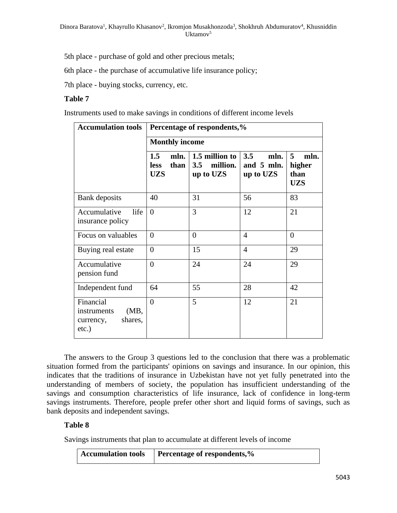5th place - purchase of gold and other precious metals;

6th place - the purchase of accumulative life insurance policy;

7th place - buying stocks, currency, etc.

### **Table 7**

Instruments used to make savings in conditions of different income levels

| <b>Accumulation tools</b>                                            | Percentage of respondents,%                      |                                                |                                        |                                           |  |  |  |
|----------------------------------------------------------------------|--------------------------------------------------|------------------------------------------------|----------------------------------------|-------------------------------------------|--|--|--|
|                                                                      | <b>Monthly income</b>                            |                                                |                                        |                                           |  |  |  |
|                                                                      | 1.5<br>mln.<br><b>less</b><br>than<br><b>UZS</b> | 1.5 million to<br>million.<br>3.5<br>up to UZS | 3.5<br>mln.<br>and 5 mln.<br>up to UZS | 5<br>mln.<br>higher<br>than<br><b>UZS</b> |  |  |  |
| Bank deposits                                                        | 40                                               | 31                                             | 56                                     | 83                                        |  |  |  |
| life<br>Accumulative<br>insurance policy                             | $\theta$                                         | 3                                              | 12                                     | 21                                        |  |  |  |
| Focus on valuables                                                   | $\theta$                                         | $\overline{0}$                                 | $\overline{4}$                         | $\theta$                                  |  |  |  |
| Buying real estate                                                   | $\overline{0}$                                   | 15                                             | $\overline{4}$                         | 29                                        |  |  |  |
| Accumulative<br>pension fund                                         | $\theta$                                         | 24                                             | 24                                     | 29                                        |  |  |  |
| Independent fund                                                     | 64                                               | 55                                             | 28                                     | 42                                        |  |  |  |
| Financial<br>(MB,<br>instruments<br>shares,<br>currency,<br>$etc.$ ) | $\theta$                                         | 5                                              | 12                                     | 21                                        |  |  |  |

The answers to the Group 3 questions led to the conclusion that there was a problematic situation formed from the participants' opinions on savings and insurance. In our opinion, this indicates that the traditions of insurance in Uzbekistan have not yet fully penetrated into the understanding of members of society, the population has insufficient understanding of the savings and consumption characteristics of life insurance, lack of confidence in long-term savings instruments. Therefore, people prefer other short and liquid forms of savings, such as bank deposits and independent savings.

# **Table 8**

Savings instruments that plan to accumulate at different levels of income

| <b>Accumulation tools</b> | Percentage of respondents,% |
|---------------------------|-----------------------------|
|---------------------------|-----------------------------|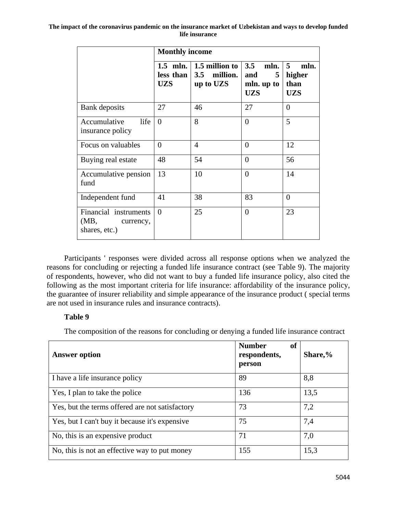|                                                          | <b>Monthly income</b>                 |                                             |                                                     |                                           |  |  |
|----------------------------------------------------------|---------------------------------------|---------------------------------------------|-----------------------------------------------------|-------------------------------------------|--|--|
|                                                          | $1.5$ mln.<br>less than<br><b>UZS</b> | 1.5 million to<br>3.5 million.<br>up to UZS | 3.5<br>mln.<br>5<br>and<br>mln. up to<br><b>UZS</b> | 5<br>mln.<br>higher<br>than<br><b>UZS</b> |  |  |
| Bank deposits                                            | 27                                    | 46                                          | 27                                                  | $\theta$                                  |  |  |
| life<br>Accumulative<br>insurance policy                 | $\theta$                              | 8                                           | $\overline{0}$                                      | 5                                         |  |  |
| Focus on valuables                                       | $\theta$                              | $\overline{4}$                              | $\overline{0}$                                      | 12                                        |  |  |
| Buying real estate                                       | 48                                    | 54                                          | $\theta$                                            | 56                                        |  |  |
| Accumulative pension<br>fund                             | 13                                    | 10                                          | $\overline{0}$                                      | 14                                        |  |  |
| Independent fund                                         | 41                                    | 38                                          | 83                                                  | $\theta$                                  |  |  |
| Financial instruments<br>(MB, currency,<br>shares, etc.) | $\theta$                              | 25                                          | $\overline{0}$                                      | 23                                        |  |  |

Participants ' responses were divided across all response options when we analyzed the reasons for concluding or rejecting a funded life insurance contract (see Table 9). The majority of respondents, however, who did not want to buy a funded life insurance policy, also cited the following as the most important criteria for life insurance: affordability of the insurance policy, the guarantee of insurer reliability and simple appearance of the insurance product ( special terms are not used in insurance rules and insurance contracts).

# **Table 9**

The composition of the reasons for concluding or denying a funded life insurance contract

| <b>Answer option</b>                            | <b>Number</b><br>of<br>respondents,<br>person | Share,% |
|-------------------------------------------------|-----------------------------------------------|---------|
| I have a life insurance policy                  | 89                                            | 8,8     |
| Yes, I plan to take the police                  | 136                                           | 13,5    |
| Yes, but the terms offered are not satisfactory | 73                                            | 7,2     |
| Yes, but I can't buy it because it's expensive  | 75                                            | 7,4     |
| No, this is an expensive product                | 71                                            | 7,0     |
| No, this is not an effective way to put money   | 155                                           | 15,3    |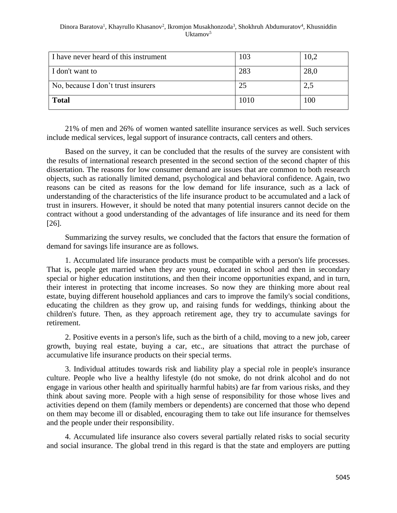#### Dinora Baratova<sup>1</sup>, Khayrullo Khasanov<sup>2</sup>, Ikromjon Musakhonzoda<sup>3</sup>, Shokhruh Abdumuratov<sup>4</sup>, Khusniddin Uktamov $5$

| I have never heard of this instrument | 103  | 10,2 |
|---------------------------------------|------|------|
| I don't want to                       | 283  | 28,0 |
| No, because I don't trust insurers    | 25   | 2,5  |
| <b>Total</b>                          | 1010 | 100  |

21% of men and 26% of women wanted satellite insurance services as well. Such services include medical services, legal support of insurance contracts, call centers and others.

Based on the survey, it can be concluded that the results of the survey are consistent with the results of international research presented in the second section of the second chapter of this dissertation. The reasons for low consumer demand are issues that are common to both research objects, such as rationally limited demand, psychological and behavioral confidence. Again, two reasons can be cited as reasons for the low demand for life insurance, such as a lack of understanding of the characteristics of the life insurance product to be accumulated and a lack of trust in insurers. However, it should be noted that many potential insurers cannot decide on the contract without a good understanding of the advantages of life insurance and its need for them [26].

Summarizing the survey results, we concluded that the factors that ensure the formation of demand for savings life insurance are as follows.

1. Accumulated life insurance products must be compatible with a person's life processes. That is, people get married when they are young, educated in school and then in secondary special or higher education institutions, and then their income opportunities expand, and in turn, their interest in protecting that income increases. So now they are thinking more about real estate, buying different household appliances and cars to improve the family's social conditions, educating the children as they grow up, and raising funds for weddings, thinking about the children's future. Then, as they approach retirement age, they try to accumulate savings for retirement.

2. Positive events in a person's life, such as the birth of a child, moving to a new job, career growth, buying real estate, buying a car, etc., are situations that attract the purchase of accumulative life insurance products on their special terms.

3. Individual attitudes towards risk and liability play a special role in people's insurance culture. People who live a healthy lifestyle (do not smoke, do not drink alcohol and do not engage in various other health and spiritually harmful habits) are far from various risks, and they think about saving more. People with a high sense of responsibility for those whose lives and activities depend on them (family members or dependents) are concerned that those who depend on them may become ill or disabled, encouraging them to take out life insurance for themselves and the people under their responsibility.

4. Accumulated life insurance also covers several partially related risks to social security and social insurance. The global trend in this regard is that the state and employers are putting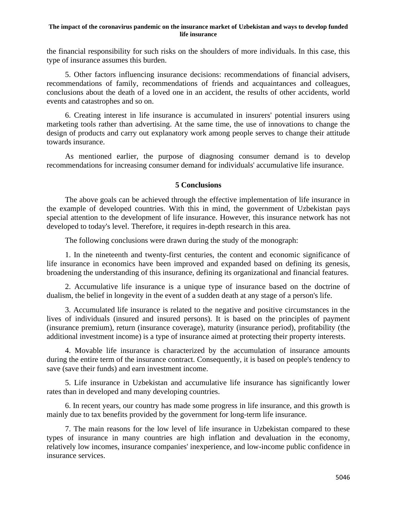the financial responsibility for such risks on the shoulders of more individuals. In this case, this type of insurance assumes this burden.

5. Other factors influencing insurance decisions: recommendations of financial advisers, recommendations of family, recommendations of friends and acquaintances and colleagues, conclusions about the death of a loved one in an accident, the results of other accidents, world events and catastrophes and so on.

6. Creating interest in life insurance is accumulated in insurers' potential insurers using marketing tools rather than advertising. At the same time, the use of innovations to change the design of products and carry out explanatory work among people serves to change their attitude towards insurance.

As mentioned earlier, the purpose of diagnosing consumer demand is to develop recommendations for increasing consumer demand for individuals' accumulative life insurance.

#### **5 Conclusions**

The above goals can be achieved through the effective implementation of life insurance in the example of developed countries. With this in mind, the government of Uzbekistan pays special attention to the development of life insurance. However, this insurance network has not developed to today's level. Therefore, it requires in-depth research in this area.

The following conclusions were drawn during the study of the monograph:

1. In the nineteenth and twenty-first centuries, the content and economic significance of life insurance in economics have been improved and expanded based on defining its genesis, broadening the understanding of this insurance, defining its organizational and financial features.

2. Accumulative life insurance is a unique type of insurance based on the doctrine of dualism, the belief in longevity in the event of a sudden death at any stage of a person's life.

3. Accumulated life insurance is related to the negative and positive circumstances in the lives of individuals (insured and insured persons). It is based on the principles of payment (insurance premium), return (insurance coverage), maturity (insurance period), profitability (the additional investment income) is a type of insurance aimed at protecting their property interests.

4. Movable life insurance is characterized by the accumulation of insurance amounts during the entire term of the insurance contract. Consequently, it is based on people's tendency to save (save their funds) and earn investment income.

5. Life insurance in Uzbekistan and accumulative life insurance has significantly lower rates than in developed and many developing countries.

6. In recent years, our country has made some progress in life insurance, and this growth is mainly due to tax benefits provided by the government for long-term life insurance.

7. The main reasons for the low level of life insurance in Uzbekistan compared to these types of insurance in many countries are high inflation and devaluation in the economy, relatively low incomes, insurance companies' inexperience, and low-income public confidence in insurance services.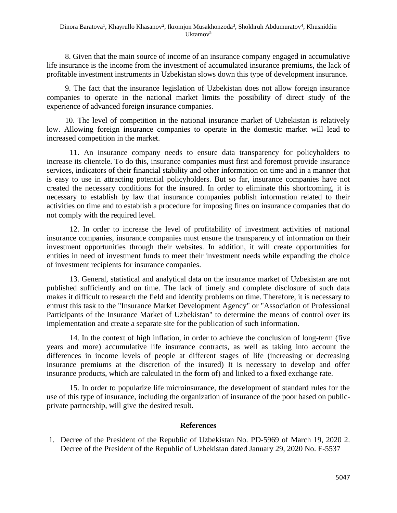8. Given that the main source of income of an insurance company engaged in accumulative life insurance is the income from the investment of accumulated insurance premiums, the lack of profitable investment instruments in Uzbekistan slows down this type of development insurance.

9. The fact that the insurance legislation of Uzbekistan does not allow foreign insurance companies to operate in the national market limits the possibility of direct study of the experience of advanced foreign insurance companies.

10. The level of competition in the national insurance market of Uzbekistan is relatively low. Allowing foreign insurance companies to operate in the domestic market will lead to increased competition in the market.

11. An insurance company needs to ensure data transparency for policyholders to increase its clientele. To do this, insurance companies must first and foremost provide insurance services, indicators of their financial stability and other information on time and in a manner that is easy to use in attracting potential policyholders. But so far, insurance companies have not created the necessary conditions for the insured. In order to eliminate this shortcoming, it is necessary to establish by law that insurance companies publish information related to their activities on time and to establish a procedure for imposing fines on insurance companies that do not comply with the required level.

12. In order to increase the level of profitability of investment activities of national insurance companies, insurance companies must ensure the transparency of information on their investment opportunities through their websites. In addition, it will create opportunities for entities in need of investment funds to meet their investment needs while expanding the choice of investment recipients for insurance companies.

13. General, statistical and analytical data on the insurance market of Uzbekistan are not published sufficiently and on time. The lack of timely and complete disclosure of such data makes it difficult to research the field and identify problems on time. Therefore, it is necessary to entrust this task to the "Insurance Market Development Agency" or "Association of Professional Participants of the Insurance Market of Uzbekistan" to determine the means of control over its implementation and create a separate site for the publication of such information.

14. In the context of high inflation, in order to achieve the conclusion of long-term (five years and more) accumulative life insurance contracts, as well as taking into account the differences in income levels of people at different stages of life (increasing or decreasing insurance premiums at the discretion of the insured) It is necessary to develop and offer insurance products, which are calculated in the form of) and linked to a fixed exchange rate.

15. In order to popularize life microinsurance, the development of standard rules for the use of this type of insurance, including the organization of insurance of the poor based on publicprivate partnership, will give the desired result.

# **References**

1. Decree of the President of the Republic of Uzbekistan No. PD-5969 of March 19, 2020 2. Decree of the President of the Republic of Uzbekistan dated January 29, 2020 No. F-5537